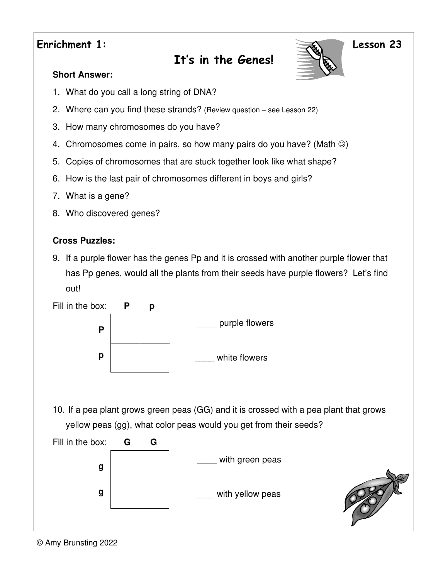### **Enrichment 1: Lesson 23**

# **It's in the Genes!**



### **Short Answer:**

- 1. What do you call a long string of DNA?
- 2. Where can you find these strands? (Review question see Lesson 22)
- 3. How many chromosomes do you have?
- 4. Chromosomes come in pairs, so how many pairs do you have? (Math  $\circledcirc$ )
- 5. Copies of chromosomes that are stuck together look like what shape?
- 6. How is the last pair of chromosomes different in boys and girls?
- 7. What is a gene?
- 8. Who discovered genes?

### **Cross Puzzles:**

9. If a purple flower has the genes Pp and it is crossed with another purple flower that has Pp genes, would all the plants from their seeds have purple flowers? Let's find out!